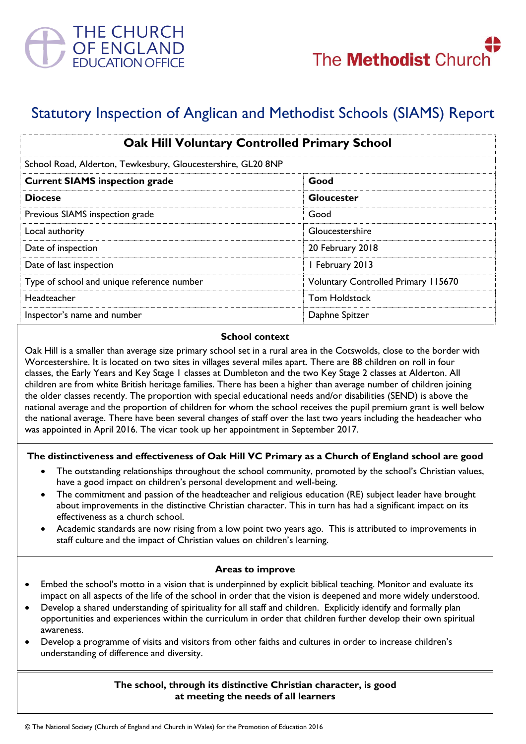

# Statutory Inspection of Anglican and Methodist Schools (SIAMS) Report

| <b>Oak Hill Voluntary Controlled Primary School</b><br>School Road, Alderton, Tewkesbury, Gloucestershire, GL20 8NP |                                            |
|---------------------------------------------------------------------------------------------------------------------|--------------------------------------------|
|                                                                                                                     |                                            |
| <b>Diocese</b>                                                                                                      | <b>Gloucester</b>                          |
| Previous SIAMS inspection grade                                                                                     | Good                                       |
| Local authority                                                                                                     | Gloucestershire                            |
| Date of inspection                                                                                                  | 20 February 2018                           |
| Date of last inspection                                                                                             | I February 2013                            |
| Type of school and unique reference number                                                                          | <b>Voluntary Controlled Primary 115670</b> |
| Headteacher                                                                                                         | <b>Tom Holdstock</b>                       |
| Inspector's name and number                                                                                         | Daphne Spitzer                             |

#### **School context**

Oak Hill is a smaller than average size primary school set in a rural area in the Cotswolds, close to the border with Worcestershire. It is located on two sites in villages several miles apart. There are 88 children on roll in four classes, the Early Years and Key Stage 1 classes at Dumbleton and the two Key Stage 2 classes at Alderton. All children are from white British heritage families. There has been a higher than average number of children joining the older classes recently. The proportion with special educational needs and/or disabilities (SEND) is above the national average and the proportion of children for whom the school receives the pupil premium grant is well below the national average. There have been several changes of staff over the last two years including the headeacher who was appointed in April 2016. The vicar took up her appointment in September 2017.

## **The distinctiveness and effectiveness of Oak Hill VC Primary as a Church of England school are good**

- The outstanding relationships throughout the school community, promoted by the school's Christian values, have a good impact on children's personal development and well-being.
- The commitment and passion of the headteacher and religious education (RE) subject leader have brought about improvements in the distinctive Christian character. This in turn has had a significant impact on its effectiveness as a church school.
- Academic standards are now rising from a low point two years ago. This is attributed to improvements in staff culture and the impact of Christian values on children's learning.

## **Areas to improve**

- Embed the school's motto in a vision that is underpinned by explicit biblical teaching. Monitor and evaluate its impact on all aspects of the life of the school in order that the vision is deepened and more widely understood.
- Develop a shared understanding of spirituality for all staff and children. Explicitly identify and formally plan opportunities and experiences within the curriculum in order that children further develop their own spiritual awareness.
- Develop a programme of visits and visitors from other faiths and cultures in order to increase children's understanding of difference and diversity.

#### **The school, through its distinctive Christian character, is good at meeting the needs of all learners**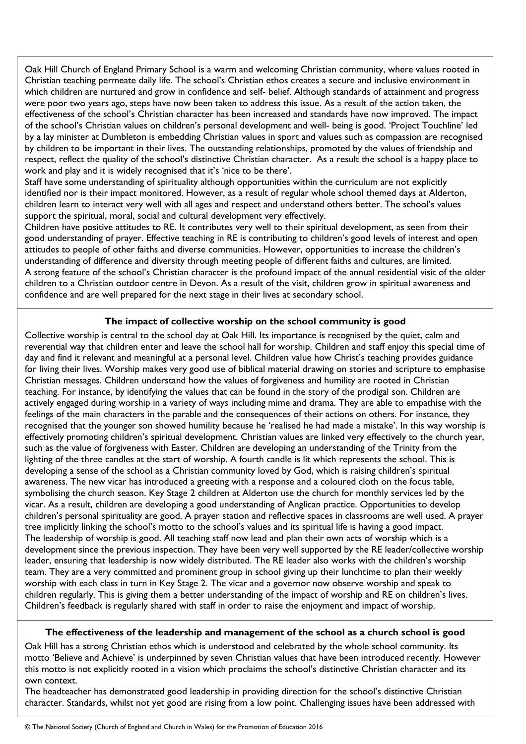Oak Hill Church of England Primary School is a warm and welcoming Christian community, where values rooted in Christian teaching permeate daily life. The school's Christian ethos creates a secure and inclusive environment in which children are nurtured and grow in confidence and self- belief. Although standards of attainment and progress were poor two years ago, steps have now been taken to address this issue. As a result of the action taken, the effectiveness of the school's Christian character has been increased and standards have now improved. The impact of the school's Christian values on children's personal development and well- being is good. 'Project Touchline' led by a lay minister at Dumbleton is embedding Christian values in sport and values such as compassion are recognised by children to be important in their lives. The outstanding relationships, promoted by the values of friendship and respect, reflect the quality of the school's distinctive Christian character. As a result the school is a happy place to work and play and it is widely recognised that it's 'nice to be there'.

Staff have some understanding of spirituality although opportunities within the curriculum are not explicitly identified nor is their impact monitored. However, as a result of regular whole school themed days at Alderton, children learn to interact very well with all ages and respect and understand others better. The school's values support the spiritual, moral, social and cultural development very effectively.

Children have positive attitudes to RE. It contributes very well to their spiritual development, as seen from their good understanding of prayer. Effective teaching in RE is contributing to children's good levels of interest and open attitudes to people of other faiths and diverse communities. However, opportunities to increase the children's understanding of difference and diversity through meeting people of different faiths and cultures, are limited. A strong feature of the school's Christian character is the profound impact of the annual residential visit of the older children to a Christian outdoor centre in Devon. As a result of the visit, children grow in spiritual awareness and confidence and are well prepared for the next stage in their lives at secondary school.

# **The impact of collective worship on the school community is good**

Collective worship is central to the school day at Oak Hill. Its importance is recognised by the quiet, calm and reverential way that children enter and leave the school hall for worship. Children and staff enjoy this special time of day and find it relevant and meaningful at a personal level. Children value how Christ's teaching provides guidance for living their lives. Worship makes very good use of biblical material drawing on stories and scripture to emphasise Christian messages. Children understand how the values of forgiveness and humility are rooted in Christian teaching. For instance, by identifying the values that can be found in the story of the prodigal son. Children are actively engaged during worship in a variety of ways including mime and drama. They are able to empathise with the feelings of the main characters in the parable and the consequences of their actions on others. For instance, they recognised that the younger son showed humility because he 'realised he had made a mistake'. In this way worship is effectively promoting children's spiritual development. Christian values are linked very effectively to the church year, such as the value of forgiveness with Easter. Children are developing an understanding of the Trinity from the lighting of the three candles at the start of worship. A fourth candle is lit which represents the school. This is developing a sense of the school as a Christian community loved by God, which is raising children's spiritual awareness. The new vicar has introduced a greeting with a response and a coloured cloth on the focus table, symbolising the church season. Key Stage 2 children at Alderton use the church for monthly services led by the vicar. As a result, children are developing a good understanding of Anglican practice. Opportunities to develop children's personal spirituality are good. A prayer station and reflective spaces in classrooms are well used. A prayer tree implicitly linking the school's motto to the school's values and its spiritual life is having a good impact. The leadership of worship is good. All teaching staff now lead and plan their own acts of worship which is a development since the previous inspection. They have been very well supported by the RE leader/collective worship leader, ensuring that leadership is now widely distributed. The RE leader also works with the children's worship team. They are a very committed and prominent group in school giving up their lunchtime to plan their weekly worship with each class in turn in Key Stage 2. The vicar and a governor now observe worship and speak to children regularly. This is giving them a better understanding of the impact of worship and RE on children's lives. Children's feedback is regularly shared with staff in order to raise the enjoyment and impact of worship.

## **The effectiveness of the leadership and management of the school as a church school is good**

Oak Hill has a strong Christian ethos which is understood and celebrated by the whole school community. Its motto 'Believe and Achieve' is underpinned by seven Christian values that have been introduced recently. However this motto is not explicitly rooted in a vision which proclaims the school's distinctive Christian character and its own context.

The headteacher has demonstrated good leadership in providing direction for the school's distinctive Christian character. Standards, whilst not yet good are rising from a low point. Challenging issues have been addressed with